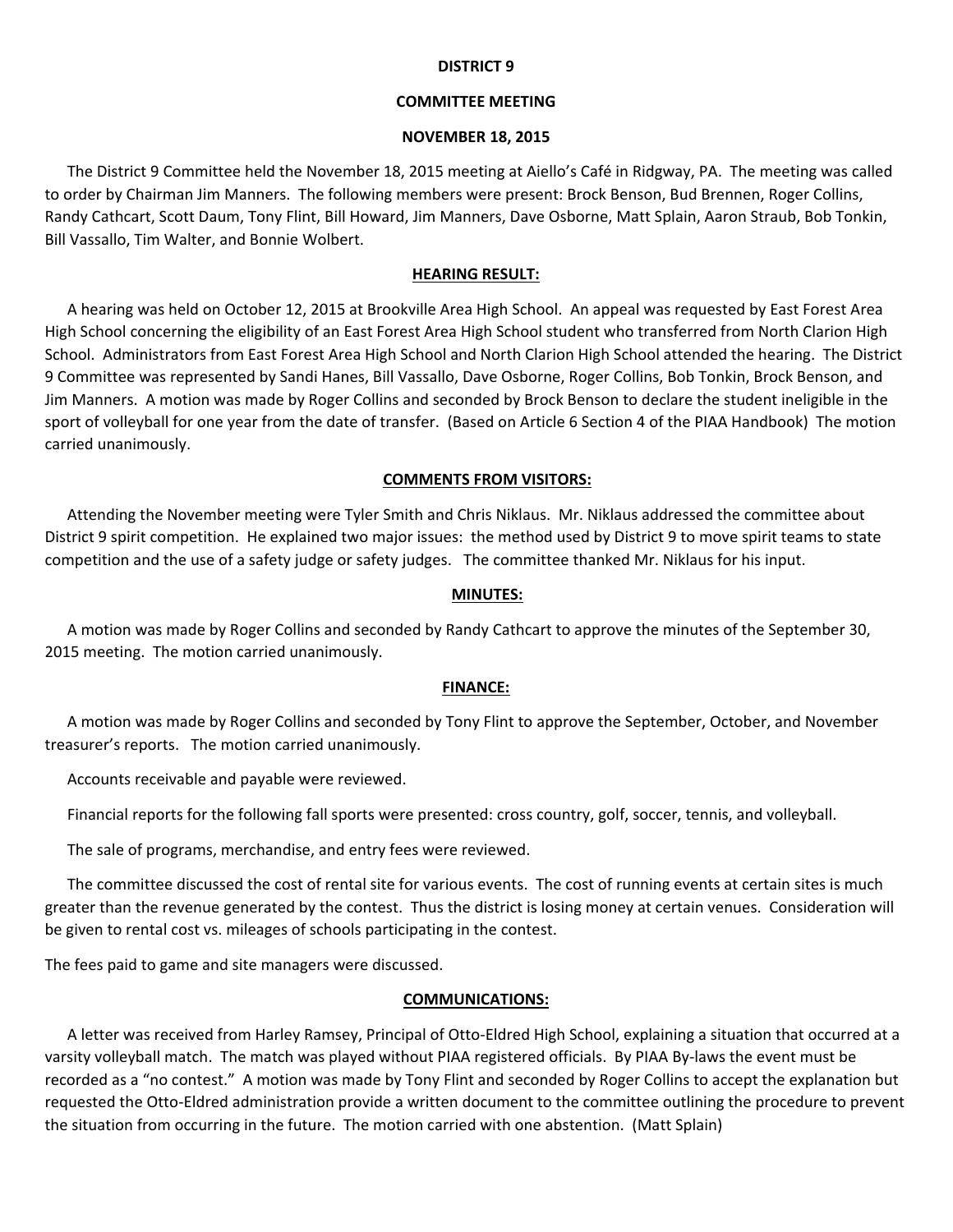## **DISTRICT 9**

# **COMMITTEE MEETING**

## **NOVEMBER 18, 2015**

The District 9 Committee held the November 18, 2015 meeting at Aiello's Café in Ridgway, PA. The meeting was called to order by Chairman Jim Manners. The following members were present: Brock Benson, Bud Brennen, Roger Collins, Randy Cathcart, Scott Daum, Tony Flint, Bill Howard, Jim Manners, Dave Osborne, Matt Splain, Aaron Straub, Bob Tonkin, Bill Vassallo, Tim Walter, and Bonnie Wolbert.

## **HEARING RESULT:**

A hearing was held on October 12, 2015 at Brookville Area High School. An appeal was requested by East Forest Area High School concerning the eligibility of an East Forest Area High School student who transferred from North Clarion High School. Administrators from East Forest Area High School and North Clarion High School attended the hearing. The District 9 Committee was represented by Sandi Hanes, Bill Vassallo, Dave Osborne, Roger Collins, Bob Tonkin, Brock Benson, and Jim Manners. A motion was made by Roger Collins and seconded by Brock Benson to declare the student ineligible in the sport of volleyball for one year from the date of transfer. (Based on Article 6 Section 4 of the PIAA Handbook) The motion carried unanimously.

## **COMMENTS FROM VISITORS:**

Attending the November meeting were Tyler Smith and Chris Niklaus. Mr. Niklaus addressed the committee about District 9 spirit competition. He explained two major issues: the method used by District 9 to move spirit teams to state competition and the use of a safety judge or safety judges. The committee thanked Mr. Niklaus for his input.

#### **MINUTES:**

A motion was made by Roger Collins and seconded by Randy Cathcart to approve the minutes of the September 30, 2015 meeting. The motion carried unanimously.

#### **FINANCE:**

A motion was made by Roger Collins and seconded by Tony Flint to approve the September, October, and November treasurer's reports. The motion carried unanimously.

Accounts receivable and payable were reviewed.

Financial reports for the following fall sports were presented: cross country, golf, soccer, tennis, and volleyball.

The sale of programs, merchandise, and entry fees were reviewed.

The committee discussed the cost of rental site for various events. The cost of running events at certain sites is much greater than the revenue generated by the contest. Thus the district is losing money at certain venues. Consideration will be given to rental cost vs. mileages of schools participating in the contest.

The fees paid to game and site managers were discussed.

# **COMMUNICATIONS:**

A letter was received from Harley Ramsey, Principal of Otto‐Eldred High School, explaining a situation that occurred at a varsity volleyball match. The match was played without PIAA registered officials. By PIAA By‐laws the event must be recorded as a "no contest." A motion was made by Tony Flint and seconded by Roger Collins to accept the explanation but requested the Otto‐Eldred administration provide a written document to the committee outlining the procedure to prevent the situation from occurring in the future. The motion carried with one abstention. (Matt Splain)